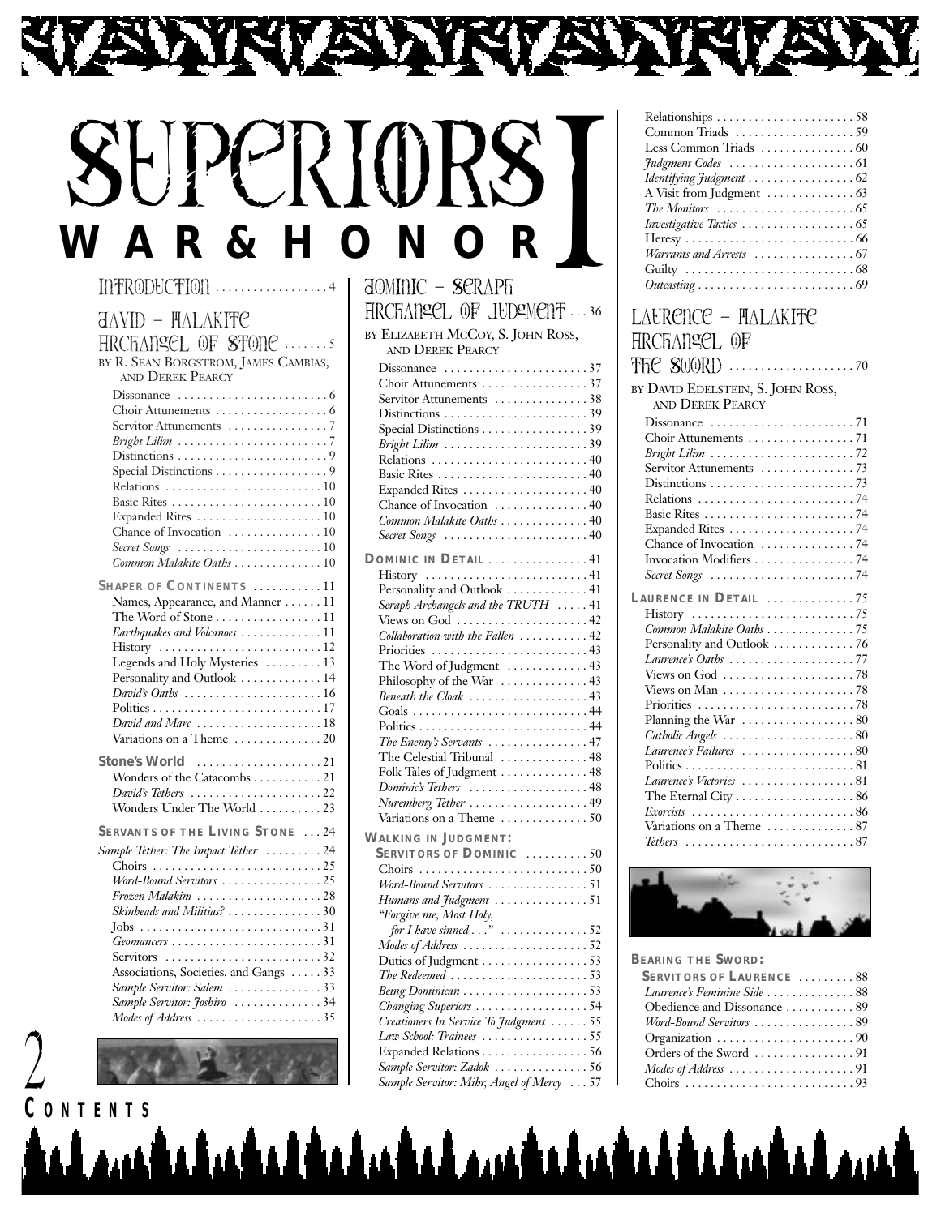# SuperiORS **W A R & H O N O R** I

YAW.

#### INTRODUCTION ...............

Ñ

| <b>JAVID - FLALAKIFE</b>                                      |
|---------------------------------------------------------------|
| HRCFANSEL OF STONE                                            |
| BY R. SEAN BORGSTROM, JAMES CAMBIAS,                          |
| AND DEREK PEARCY                                              |
| Dissonance $\ldots \ldots \ldots \ldots \ldots \ldots$        |
| Servitor Attunements 7                                        |
| Bright Lilim 7                                                |
|                                                               |
| Special Distinctions 9                                        |
|                                                               |
| Expanded Rites  10                                            |
| Chance of Invocation  10                                      |
| Secret Songs 10                                               |
| Common Malakite Oaths 10                                      |
| SHAPER OF CONTINENTS 11                                       |
| Names, Appearance, and Manner 11                              |
| The Word of Stone $\dots\dots\dots\dots\dots11$               |
| Earthquakes and Volcanoes 11                                  |
|                                                               |
| Legends and Holy Mysteries  13<br>Personality and Outlook  14 |
|                                                               |
|                                                               |
| David and Marc 18                                             |
| Variations on a Theme $\dots\dots\dots\dots 20$               |
| <b>Stone's World</b>                                          |
| Wonders of the Catacombs 21                                   |
| David's Tethers 22                                            |
| Wonders Under The World  23                                   |
| <b>SERVANTS OF THE LIVING STONE 24</b>                        |
| Sample Tether: The Impact Tether 24                           |
|                                                               |
|                                                               |
| Skinheads and Militias? 30                                    |
|                                                               |
|                                                               |
| Servitors 32                                                  |
| Associations, Societies, and Gangs 33                         |
| Sample Servitor: Salem 33                                     |
| Sample Servitor: Joshiro 34<br>Modes of Address 35            |
|                                                               |

2

| JOMINIC – SERAPFi                                                  |  |
|--------------------------------------------------------------------|--|
| HRCFANSEL OF JUDSMENT  36                                          |  |
| BY ELIZABETH MCCOY, S. JOHN ROSS,<br><b>AND DEREK PEARCY</b>       |  |
|                                                                    |  |
| Choir Attunements 37                                               |  |
| Servitor Attunements 38                                            |  |
| Distinctions 39                                                    |  |
| Special Distinctions 39                                            |  |
| Bright Lilim 39                                                    |  |
| Relations 40                                                       |  |
|                                                                    |  |
| Expanded Rites  40                                                 |  |
| Chance of Invocation  40                                           |  |
| Common Malakite Oaths  40                                          |  |
| Secret Songs 40                                                    |  |
|                                                                    |  |
| DOMINIC IN DETAIL  41                                              |  |
| History 41                                                         |  |
| Personality and Outlook  41                                        |  |
| Seraph Archangels and the TRUTH  41                                |  |
| Views on God $\ldots \ldots \ldots \ldots \ldots \ldots 42$        |  |
| Collaboration with the Fallen 42                                   |  |
| Priorities 43                                                      |  |
| The Word of Judgment  43                                           |  |
| Philosophy of the War  43                                          |  |
| Beneath the Cloak 43                                               |  |
|                                                                    |  |
|                                                                    |  |
| The Enemy's Servants 47                                            |  |
| The Celestial Tribunal  48                                         |  |
| Folk Tales of Judgment  48                                         |  |
| Dominic's Tethers 48                                               |  |
| Nuremberg Tether 49                                                |  |
| Variations on a Theme 50                                           |  |
| <b>WALKING IN JUDGMENT:</b>                                        |  |
| <b>SERVITORS OF DOMINIC 50</b>                                     |  |
|                                                                    |  |
| Word-Bound Servitors 51                                            |  |
| Humans and Judgment 51                                             |  |
| "Forgive me, Most Holy,                                            |  |
| for I have sinned $\dots$ " $\dots\dots\dots\dots$ 52              |  |
| Modes of Address 52                                                |  |
| Duties of Judgment 53                                              |  |
| The Redeemed $\ldots \ldots \ldots \ldots \ldots \ldots \ldots 53$ |  |
|                                                                    |  |
| Changing Superiors 54                                              |  |
| Creationers In Service To Judgment  55                             |  |
| Law School: Trainees 55                                            |  |
| Expanded Relations 56                                              |  |
| Sample Servitor: Zadok 56                                          |  |
|                                                                    |  |

| Relationships $\ldots \ldots \ldots \ldots \ldots \ldots \ldots 58$            |
|--------------------------------------------------------------------------------|
| Common Triads 59                                                               |
| Less Common Triads $\dots\dots\dots\dots\dots 60$                              |
| <i>Hudgment Codes</i> 61                                                       |
| Identifying Judgment 62                                                        |
|                                                                                |
| The Monitors $\ldots \ldots \ldots \ldots \ldots \ldots \ldots$                |
| <i>Investigative Tactics</i> 65                                                |
|                                                                                |
| Warrants and Arrests 67                                                        |
|                                                                                |
| $Outcasting \ldots \ldots \ldots \ldots \ldots \ldots \ldots \ldots \ldots 69$ |
|                                                                                |

| LAURENCE – HALAKIFE                                                |
|--------------------------------------------------------------------|
| HRCFIANSEL OF                                                      |
|                                                                    |
| BY DAVID EDELSTEIN, S. JOHN ROSS,                                  |
| AND DEREK PEARCY                                                   |
|                                                                    |
| Choir Attunements 71                                               |
|                                                                    |
|                                                                    |
|                                                                    |
|                                                                    |
|                                                                    |
|                                                                    |
|                                                                    |
|                                                                    |
| Secret Songs 74                                                    |
| LAURENCE IN DETAIL $\ldots \ldots \ldots \ldots$ 75                |
|                                                                    |
| Common Malakite Oaths 75                                           |
| Personality and Outlook  76                                        |
| Laurence's Oaths 77                                                |
| Views on $God \ldots \ldots \ldots \ldots \ldots \ldots \ldots 78$ |
| Views on Man $\dots\dots\dots\dots\dots\dots\dots$ 78              |
|                                                                    |
| Planning the War  80                                               |
| Catholic Angels 80                                                 |
| Laurence's Failures 80                                             |
|                                                                    |
| Laurence's Victories 81                                            |
| The Eternal City  86                                               |
|                                                                    |
| Variations on a Theme 87                                           |
| Tethers 87                                                         |
|                                                                    |



**BEARING THE SWORD:**

| <b>SERVITORS OF LAURENCE  88</b>                                          |
|---------------------------------------------------------------------------|
| Laurence's Feminine Side 88                                               |
| Obedience and Dissonance  89                                              |
| Word-Bound Servitors 89                                                   |
|                                                                           |
|                                                                           |
| $\textit{Models of Address} \dots \dots \dots \dots \dots \dots \dots 91$ |
|                                                                           |



*Sample Servitor: Mibr, Angel of Mercy* ...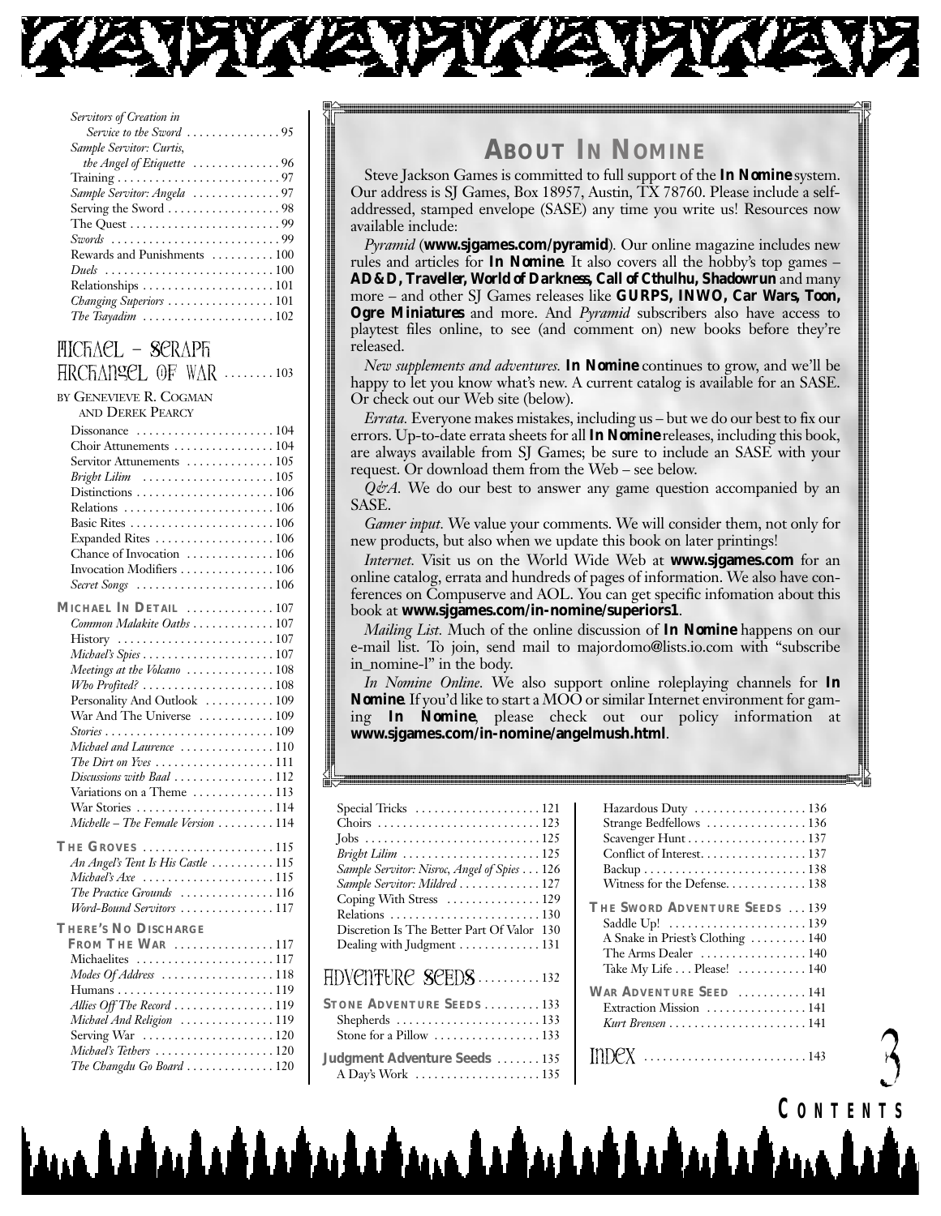

| Servitors of Creation in                                                   |
|----------------------------------------------------------------------------|
| Service to the Sword $\ldots \ldots \ldots \ldots \ldots$                  |
| Sample Servitor: Curtis,                                                   |
| the Angel of Etiquette $\ldots \ldots \ldots \ldots 96$                    |
|                                                                            |
| Sample Servitor: Angela 97                                                 |
|                                                                            |
|                                                                            |
| Swords 99                                                                  |
| Rewards and Punishments  100                                               |
| Duels $\ldots \ldots \ldots \ldots \ldots \ldots \ldots \ldots \ldots 100$ |
| Relationships $\ldots \ldots \ldots \ldots \ldots \ldots \ldots 101$       |
| Changing Superiors 101                                                     |
| The Tsayadim $\ldots \ldots \ldots \ldots \ldots \ldots \ldots 102$        |
|                                                                            |

#### FICFACL - SCRAPFI HRCHANGEL OF WAR ........103

| by Genevieve R. Cogman |
|------------------------|
| AND DEREK PEARCY       |

| Choir Attunements 104<br>Servitor Attunements  105<br>Bright Lilim $\ldots \ldots \ldots \ldots \ldots \ldots \ldots 105$<br>Relations 106<br>Expanded Rites  106<br>Chance of Invocation 106<br>Invocation Modifiers  106<br>Secret Songs 106 |
|------------------------------------------------------------------------------------------------------------------------------------------------------------------------------------------------------------------------------------------------|
| MICHAEL IN DETAIL  107                                                                                                                                                                                                                         |
| Common Malakite Oaths  107                                                                                                                                                                                                                     |
|                                                                                                                                                                                                                                                |
|                                                                                                                                                                                                                                                |
| Meetings at the Volcano 108                                                                                                                                                                                                                    |
| $Wb$ o Profited? 108                                                                                                                                                                                                                           |
| Personality And Outlook  109                                                                                                                                                                                                                   |
| War And The Universe  109                                                                                                                                                                                                                      |
|                                                                                                                                                                                                                                                |
| Michael and Laurence 110                                                                                                                                                                                                                       |
| The Dirt on Yves 111                                                                                                                                                                                                                           |
| Discussions with Baal 112                                                                                                                                                                                                                      |
| Variations on a Theme  113                                                                                                                                                                                                                     |
| War Stories 114                                                                                                                                                                                                                                |
| Michelle - The Female Version  114                                                                                                                                                                                                             |
| THE GROVES 115                                                                                                                                                                                                                                 |
| An Angel's Tent Is His Castle  115                                                                                                                                                                                                             |
| Michael's $Axe$ 115                                                                                                                                                                                                                            |
| The Practice Grounds 116                                                                                                                                                                                                                       |
| Word-Bound Servitors 117                                                                                                                                                                                                                       |
| <b>THERE'S NO DISCHARGE</b>                                                                                                                                                                                                                    |
| FROM THE WAR 117                                                                                                                                                                                                                               |
| Michaelites 117                                                                                                                                                                                                                                |
| Modes Of Address 118                                                                                                                                                                                                                           |
|                                                                                                                                                                                                                                                |
| Allies Off The Record 119                                                                                                                                                                                                                      |
| Michael And Religion 119                                                                                                                                                                                                                       |
| Serving War  120                                                                                                                                                                                                                               |
| Michael's Tethers 120                                                                                                                                                                                                                          |
| The Changdu Go Board  120                                                                                                                                                                                                                      |

# **ABOUT IN NOMINE**

Steve Jackson Games is committed to full support of the *In Nomine* system. Our address is SJ Games, Box 18957, Austin, TX 78760. Please include a selfaddressed, stamped envelope (SASE) any time you write us! Resources now available include:

Pyramid (www.sjgames.com/pyramid). Our online magazine includes new rules and articles for **In Nomine**. It also covers all the hobby's top games -AD&D, Traveller, World of Darkness, Call of Cthulhu, Shadowrun and many more - and other SJ Games releases like **GURPS**, INWO, Car Wars, Toon, Ogre Miniatures and more. And Pyramid subscribers also have access to playtest files online, to see (and comment on) new books before they're released.

New supplements and adventures. In Nomine continues to grow, and we'll be happy to let you know what's new. A current catalog is available for an SASE. Or check out our Web site (below).

*Errata*. Everyone makes mistakes, including us – but we do our best to fix our errors. Up-to-date errata sheets for all *In Nomine* releases, including this book, are always available from SJ Games; be sure to include an SASE with your request. Or download them from the Web – see below.

 $Q\dot{\varphi}A$ . We do our best to answer any game question accompanied by an SASE.

Gamer input. We value your comments. We will consider them, not only for new products, but also when we update this book on later printings!

Internet. Visit us on the World Wide Web at www.sjgames.com for an online catalog, errata and hundreds of pages of information. We also have conferences on Compuserve and AOL. You can get specific information about this book at www.sigames.com/in-nomine/superiors1.

*Mailing List.* Much of the online discussion of **In Nomine** happens on our e-mail list. To join, send mail to majordomo@lists.io.com with "subscribe" in\_nomine-l" in the body.

In Nomine Online. We also support online roleplaying channels for In **Nomine**. If you'd like to start a MOO or similar Internet environment for gaming In Nomine, please check out our policy information at www.sjgames.com/in-nomine/angelmush.html.

| Special Tricks 121                                      |
|---------------------------------------------------------|
|                                                         |
|                                                         |
|                                                         |
| Sample Servitor: Nisroc, Angel of Spies 126             |
| Sample Servitor: Mildred  127                           |
| Coping With Stress  129                                 |
| Relations 130                                           |
| Discretion Is The Better Part Of Valor 130              |
| Dealing with Judgment 131                               |
|                                                         |
| HDVCNTURC SCEDS 132                                     |
| <b>STONE ADVENTURE SEEDS</b> 133                        |
| Shepherds 133                                           |
| Stone for a Pillow $\dots\dots\dots\dots\dots\dots$ 133 |
|                                                         |
| Judgment Adventure Seeds  135                           |
|                                                         |
|                                                         |

لمستقد المشدا فداعية والمشارع والمشارع والمشارع والمستقدم

| Hazardous Duty  136                  |  |
|--------------------------------------|--|
| Strange Bedfellows  136              |  |
| Scavenger Hunt 137                   |  |
| Conflict of Interest. 137            |  |
|                                      |  |
| Witness for the Defense138           |  |
| <b>THE SWORD ADVENTURE SEEDS</b> 139 |  |
|                                      |  |
| A Snake in Priest's Clothing  140    |  |
| The Arms Dealer  140                 |  |
| Take My Life Please! 140             |  |
| VAR ADVENTURE SEED  141              |  |
| Extraction Mission  141              |  |
|                                      |  |
|                                      |  |
|                                      |  |

CONTENTS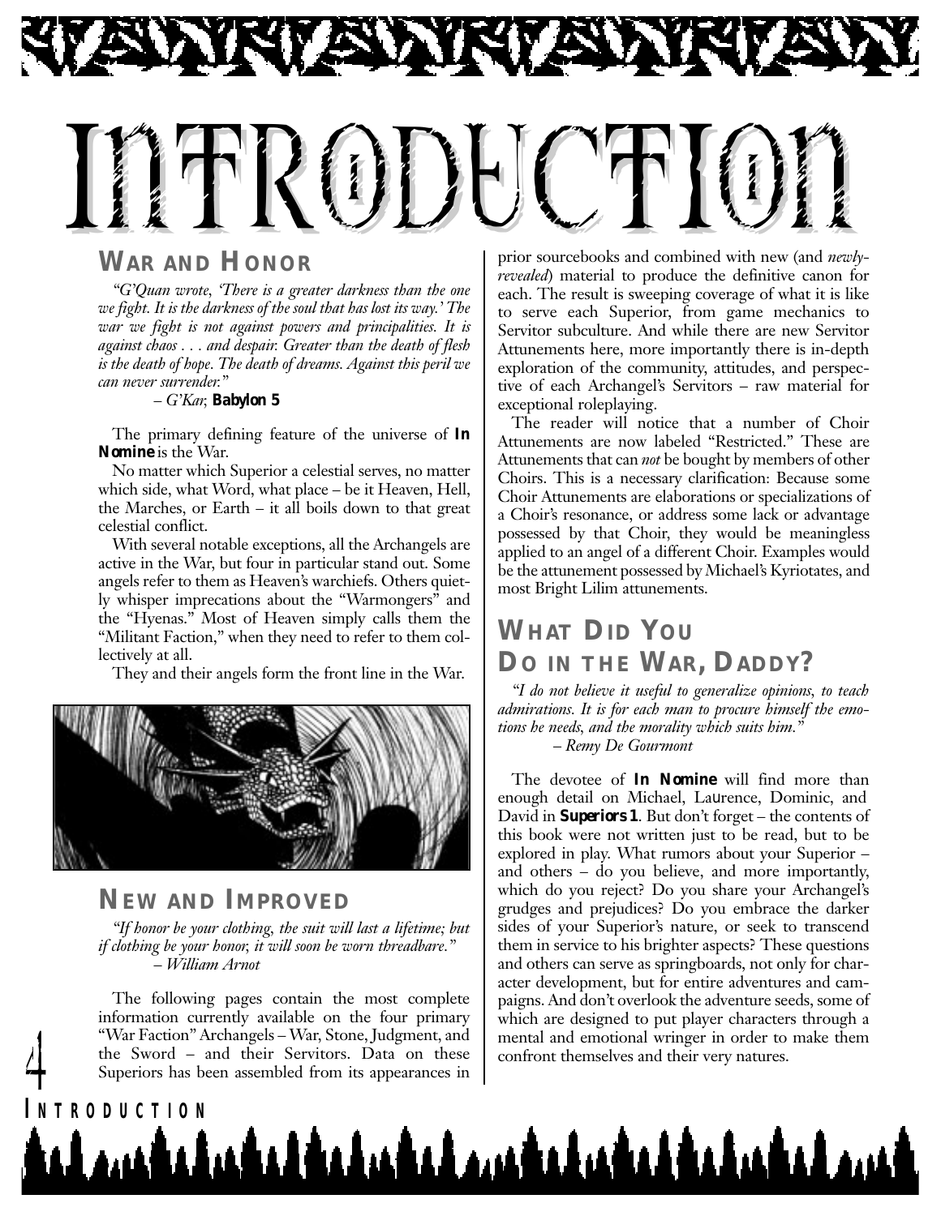

#### **WAR AND HONOR**

*"G'Quan wrote, 'There is a greater darkness than the one we fight. It is the darkness of the soul that has lost its way.' The war we fight is not against powers and principalities. It is against chaos . . . and despair. Greater than the death of flesh is the death of hope. The death of dreams. Against this peril we can never surrender."*

*– G'Kar, Babylon 5*

The primary defining feature of the universe of *In Nomine* is the War.

No matter which Superior a celestial serves, no matter which side, what Word, what place – be it Heaven, Hell, the Marches, or Earth – it all boils down to that great celestial conflict.

With several notable exceptions, all the Archangels are active in the War, but four in particular stand out. Some angels refer to them as Heaven's warchiefs. Others quietly whisper imprecations about the "Warmongers" and the "Hyenas." Most of Heaven simply calls them the "Militant Faction," when they need to refer to them collectively at all.

They and their angels form the front line in the War.



#### **NEW AND IMPROVED**

*"If honor be your clothing, the suit will last a lifetime; but if clothing be your honor, it will soon be worn threadbare." – William Arnot*

The following pages contain the most complete information currently available on the four primary "War Faction" Archangels – War, Stone, Judgment, and the Sword – and their Servitors. Data on these the Sword – and their Servitors. Data on these confront themselves and their very natures.<br>Superiors has been assembled from its appearances in

prior sourcebooks and combined with new (and *newlyrevealed*) material to produce the definitive canon for each. The result is sweeping coverage of what it is like to serve each Superior, from game mechanics to Servitor subculture. And while there are new Servitor Attunements here, more importantly there is in-depth exploration of the community, attitudes, and perspective of each Archangel's Servitors – raw material for exceptional roleplaying.

The reader will notice that a number of Choir Attunements are now labeled "Restricted." These are Attunements that can *not* be bought by members of other Choirs. This is a necessary clarification: Because some Choir Attunements are elaborations or specializations of a Choir's resonance, or address some lack or advantage possessed by that Choir, they would be meaningless applied to an angel of a different Choir. Examples would be the attunement possessed by Michael's Kyriotates, and most Bright Lilim attunements.

# **WHAT DID YOU DO IN THE WAR, DADDY?**

*"I do not believe it useful to generalize opinions, to teach admirations. It is for each man to procure himself the emotions he needs, and the morality which suits him."*

*– Remy De Gourmont*

The devotee of *In Nomine* will find more than enough detail on Michael, Laurence, Dominic, and David in *Superiors 1*. But don't forget – the contents of this book were not written just to be read, but to be explored in play. What rumors about your Superior – and others – do you believe, and more importantly, which do you reject? Do you share your Archangel's grudges and prejudices? Do you embrace the darker sides of your Superior's nature, or seek to transcend them in service to his brighter aspects? These questions and others can serve as springboards, not only for character development, but for entire adventures and campaigns. And don't overlook the adventure seeds, some of which are designed to put player characters through a mental and emotional wringer in order to make them

# **I NTRODUCTION** <u>mahahadadahaahaan kalaahadahaahaahaan am</u>